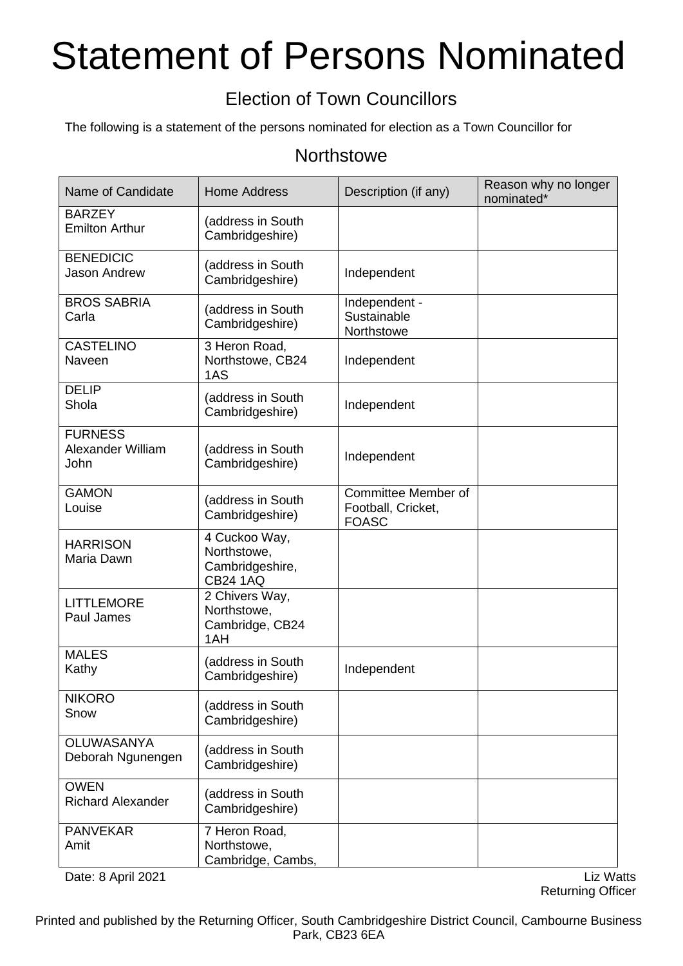## Statement of Persons Nominated

## Election of Town Councillors

The following is a statement of the persons nominated for election as a Town Councillor for

## **Northstowe**

| Name of Candidate                           | <b>Home Address</b>                                                | Description (if any)                                             | Reason why no longer<br>nominated* |
|---------------------------------------------|--------------------------------------------------------------------|------------------------------------------------------------------|------------------------------------|
| <b>BARZEY</b><br><b>Emilton Arthur</b>      | (address in South<br>Cambridgeshire)                               |                                                                  |                                    |
| <b>BENEDICIC</b><br>Jason Andrew            | (address in South<br>Cambridgeshire)                               | Independent                                                      |                                    |
| <b>BROS SABRIA</b><br>Carla                 | (address in South<br>Cambridgeshire)                               | Independent -<br>Sustainable<br>Northstowe                       |                                    |
| <b>CASTELINO</b><br>Naveen                  | 3 Heron Road,<br>Northstowe, CB24<br>1AS                           | Independent                                                      |                                    |
| <b>DELIP</b><br>Shola                       | (address in South<br>Cambridgeshire)                               | Independent                                                      |                                    |
| <b>FURNESS</b><br>Alexander William<br>John | (address in South<br>Cambridgeshire)                               | Independent                                                      |                                    |
| <b>GAMON</b><br>Louise                      | (address in South<br>Cambridgeshire)                               | <b>Committee Member of</b><br>Football, Cricket,<br><b>FOASC</b> |                                    |
| <b>HARRISON</b><br>Maria Dawn               | 4 Cuckoo Way,<br>Northstowe,<br>Cambridgeshire,<br><b>CB24 1AQ</b> |                                                                  |                                    |
| <b>LITTLEMORE</b><br>Paul James             | 2 Chivers Way,<br>Northstowe,<br>Cambridge, CB24<br>1AH            |                                                                  |                                    |
| <b>MALES</b><br>Kathy                       | (address in South<br>Cambridgeshire)                               | Independent                                                      |                                    |
| <b>NIKORO</b><br>Snow                       | (address in South<br>Cambridgeshire)                               |                                                                  |                                    |
| <b>OLUWASANYA</b><br>Deborah Ngunengen      | (address in South<br>Cambridgeshire)                               |                                                                  |                                    |
| <b>OWEN</b><br><b>Richard Alexander</b>     | (address in South<br>Cambridgeshire)                               |                                                                  |                                    |
| <b>PANVEKAR</b><br>Amit                     | 7 Heron Road,<br>Northstowe,<br>Cambridge, Cambs,                  |                                                                  |                                    |

Date: 8 April 2021 **Liz Watts** 

Returning Officer